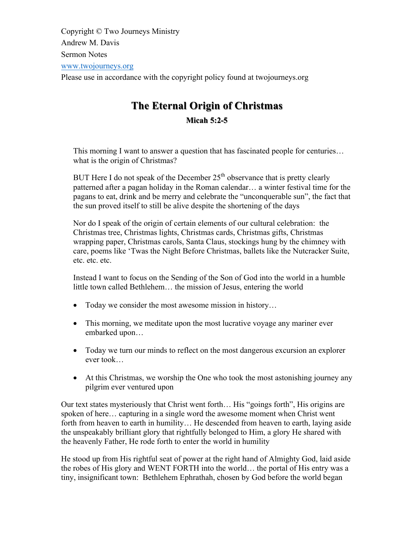Copyright © Two Journeys Ministry Andrew M. Davis Sermon Notes www.twojourneys.org Please use in accordance with the copyright policy found at twojourneys.org

# **The Eternal Origin of Christmas Micah 5:2-5**

This morning I want to answer a question that has fascinated people for centuries… what is the origin of Christmas?

BUT Here I do not speak of the December  $25<sup>th</sup>$  observance that is pretty clearly patterned after a pagan holiday in the Roman calendar… a winter festival time for the pagans to eat, drink and be merry and celebrate the "unconquerable sun", the fact that the sun proved itself to still be alive despite the shortening of the days

Nor do I speak of the origin of certain elements of our cultural celebration: the Christmas tree, Christmas lights, Christmas cards, Christmas gifts, Christmas wrapping paper, Christmas carols, Santa Claus, stockings hung by the chimney with care, poems like 'Twas the Night Before Christmas, ballets like the Nutcracker Suite, etc. etc. etc.

Instead I want to focus on the Sending of the Son of God into the world in a humble little town called Bethlehem… the mission of Jesus, entering the world

- Today we consider the most awesome mission in history...
- This morning, we meditate upon the most lucrative voyage any mariner ever embarked upon…
- Today we turn our minds to reflect on the most dangerous excursion an explorer ever took…
- At this Christmas, we worship the One who took the most astonishing journey any pilgrim ever ventured upon

Our text states mysteriously that Christ went forth… His "goings forth", His origins are spoken of here… capturing in a single word the awesome moment when Christ went forth from heaven to earth in humility… He descended from heaven to earth, laying aside the unspeakably brilliant glory that rightfully belonged to Him, a glory He shared with the heavenly Father, He rode forth to enter the world in humility

He stood up from His rightful seat of power at the right hand of Almighty God, laid aside the robes of His glory and WENT FORTH into the world… the portal of His entry was a tiny, insignificant town: Bethlehem Ephrathah, chosen by God before the world began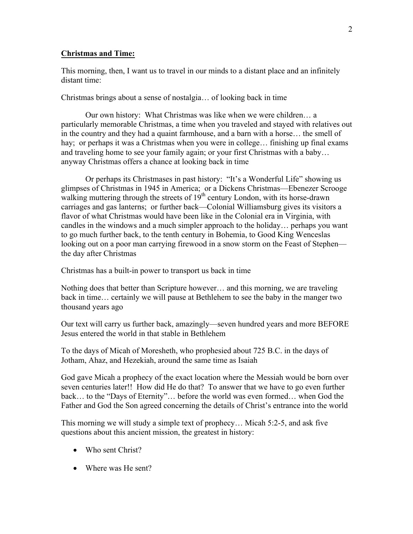#### **Christmas and Time:**

This morning, then, I want us to travel in our minds to a distant place and an infinitely distant time:

Christmas brings about a sense of nostalgia… of looking back in time

Our own history: What Christmas was like when we were children… a particularly memorable Christmas, a time when you traveled and stayed with relatives out in the country and they had a quaint farmhouse, and a barn with a horse… the smell of hay; or perhaps it was a Christmas when you were in college... finishing up final exams and traveling home to see your family again; or your first Christmas with a baby… anyway Christmas offers a chance at looking back in time

Or perhaps its Christmases in past history: "It's a Wonderful Life" showing us glimpses of Christmas in 1945 in America; or a Dickens Christmas—Ebenezer Scrooge walking muttering through the streets of  $19<sup>th</sup>$  century London, with its horse-drawn carriages and gas lanterns; or further back—Colonial Williamsburg gives its visitors a flavor of what Christmas would have been like in the Colonial era in Virginia, with candles in the windows and a much simpler approach to the holiday… perhaps you want to go much further back, to the tenth century in Bohemia, to Good King Wenceslas looking out on a poor man carrying firewood in a snow storm on the Feast of Stephen the day after Christmas

Christmas has a built-in power to transport us back in time

Nothing does that better than Scripture however… and this morning, we are traveling back in time… certainly we will pause at Bethlehem to see the baby in the manger two thousand years ago

Our text will carry us further back, amazingly—seven hundred years and more BEFORE Jesus entered the world in that stable in Bethlehem

To the days of Micah of Moresheth, who prophesied about 725 B.C. in the days of Jotham, Ahaz, and Hezekiah, around the same time as Isaiah

God gave Micah a prophecy of the exact location where the Messiah would be born over seven centuries later!! How did He do that? To answer that we have to go even further back… to the "Days of Eternity"… before the world was even formed… when God the Father and God the Son agreed concerning the details of Christ's entrance into the world

This morning we will study a simple text of prophecy… Micah 5:2-5, and ask five questions about this ancient mission, the greatest in history:

- Who sent Christ?
- Where was He sent?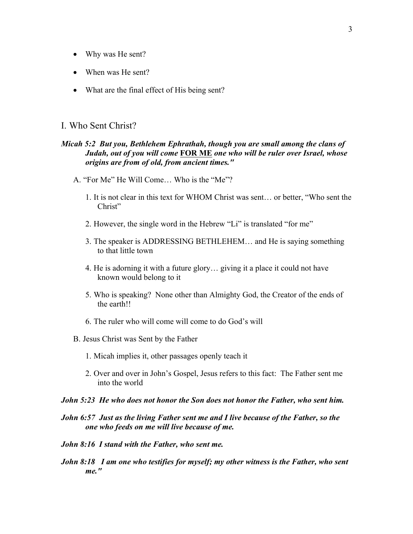- Why was He sent?
- When was He sent?
- What are the final effect of His being sent?

# I. Who Sent Christ?

## *Micah 5:2 But you, Bethlehem Ephrathah, though you are small among the clans of Judah, out of you will come* **FOR ME** *one who will be ruler over Israel, whose origins are from of old, from ancient times."*

- A. "For Me" He Will Come… Who is the "Me"?
	- 1. It is not clear in this text for WHOM Christ was sent… or better, "Who sent the Christ"
	- 2. However, the single word in the Hebrew "Li" is translated "for me"
	- 3. The speaker is ADDRESSING BETHLEHEM… and He is saying something to that little town
	- 4. He is adorning it with a future glory… giving it a place it could not have known would belong to it
	- 5. Who is speaking? None other than Almighty God, the Creator of the ends of the earth!!
	- 6. The ruler who will come will come to do God's will
- B. Jesus Christ was Sent by the Father
	- 1. Micah implies it, other passages openly teach it
	- 2. Over and over in John's Gospel, Jesus refers to this fact: The Father sent me into the world
- *John 5:23 He who does not honor the Son does not honor the Father, who sent him.*
- *John 6:57 Just as the living Father sent me and I live because of the Father, so the one who feeds on me will live because of me.*
- *John 8:16 I stand with the Father, who sent me.*
- *John 8:18 I am one who testifies for myself; my other witness is the Father, who sent me."*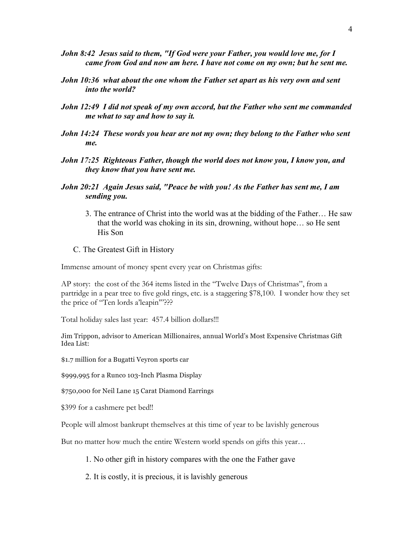- *John 8:42 Jesus said to them, "If God were your Father, you would love me, for I came from God and now am here. I have not come on my own; but he sent me.*
- *John 10:36 what about the one whom the Father set apart as his very own and sent into the world?*
- *John 12:49 I did not speak of my own accord, but the Father who sent me commanded me what to say and how to say it.*
- *John 14:24 These words you hear are not my own; they belong to the Father who sent me.*
- *John 17:25 Righteous Father, though the world does not know you, I know you, and they know that you have sent me.*
- *John 20:21 Again Jesus said, "Peace be with you! As the Father has sent me, I am sending you.*
	- 3. The entrance of Christ into the world was at the bidding of the Father… He saw that the world was choking in its sin, drowning, without hope… so He sent His Son
	- C. The Greatest Gift in History

Immense amount of money spent every year on Christmas gifts:

AP story: the cost of the 364 items listed in the "Twelve Days of Christmas", from a partridge in a pear tree to five gold rings, etc. is a staggering \$78,100. I wonder how they set the price of "Ten lords a'leapin'"???

Total holiday sales last year: 457.4 billion dollars!!!

Jim Trippon, advisor to American Millionaires, annual World's Most Expensive Christmas Gift Idea List:

\$1.7 million for a Bugatti Veyron sports car

\$999,995 for a Runco 103-Inch Plasma Display

\$750,000 for Neil Lane 15 Carat Diamond Earrings

\$399 for a cashmere pet bed!!

People will almost bankrupt themselves at this time of year to be lavishly generous

But no matter how much the entire Western world spends on gifts this year…

1. No other gift in history compares with the one the Father gave

2. It is costly, it is precious, it is lavishly generous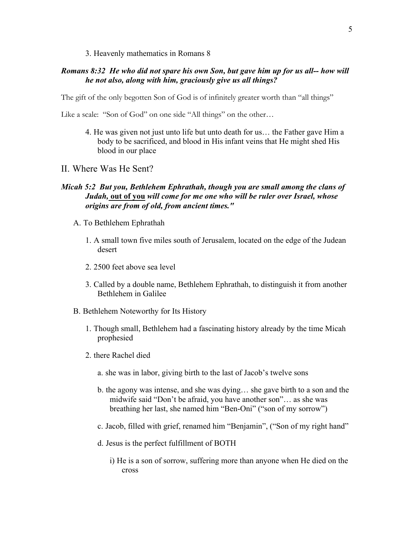#### 3. Heavenly mathematics in Romans 8

## *Romans 8:32 He who did not spare his own Son, but gave him up for us all-- how will he not also, along with him, graciously give us all things?*

The gift of the only begotten Son of God is of infinitely greater worth than "all things"

Like a scale: "Son of God" on one side "All things" on the other…

- 4. He was given not just unto life but unto death for us… the Father gave Him a body to be sacrificed, and blood in His infant veins that He might shed His blood in our place
- II. Where Was He Sent?

## *Micah 5:2 But you, Bethlehem Ephrathah, though you are small among the clans of Judah,* **out of you** *will come for me one who will be ruler over Israel, whose origins are from of old, from ancient times."*

- A. To Bethlehem Ephrathah
	- 1. A small town five miles south of Jerusalem, located on the edge of the Judean desert
	- 2. 2500 feet above sea level
	- 3. Called by a double name, Bethlehem Ephrathah, to distinguish it from another Bethlehem in Galilee
- B. Bethlehem Noteworthy for Its History
	- 1. Though small, Bethlehem had a fascinating history already by the time Micah prophesied
	- 2. there Rachel died
		- a. she was in labor, giving birth to the last of Jacob's twelve sons
		- b. the agony was intense, and she was dying… she gave birth to a son and the midwife said "Don't be afraid, you have another son"… as she was breathing her last, she named him "Ben-Oni" ("son of my sorrow")
		- c. Jacob, filled with grief, renamed him "Benjamin", ("Son of my right hand"
		- d. Jesus is the perfect fulfillment of BOTH
			- i) He is a son of sorrow, suffering more than anyone when He died on the cross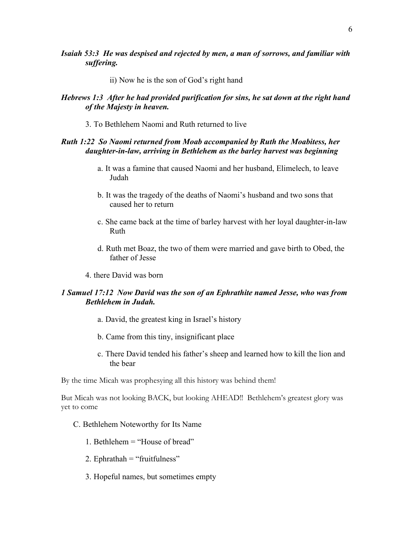*Isaiah 53:3 He was despised and rejected by men, a man of sorrows, and familiar with suffering.*

ii) Now he is the son of God's right hand

# *Hebrews 1:3 After he had provided purification for sins, he sat down at the right hand of the Majesty in heaven.*

3. To Bethlehem Naomi and Ruth returned to live

# *Ruth 1:22 So Naomi returned from Moab accompanied by Ruth the Moabitess, her daughter-in-law, arriving in Bethlehem as the barley harvest was beginning*

- a. It was a famine that caused Naomi and her husband, Elimelech, to leave Judah
- b. It was the tragedy of the deaths of Naomi's husband and two sons that caused her to return
- c. She came back at the time of barley harvest with her loyal daughter-in-law Ruth
- d. Ruth met Boaz, the two of them were married and gave birth to Obed, the father of Jesse
- 4. there David was born

# *1 Samuel 17:12 Now David was the son of an Ephrathite named Jesse, who was from Bethlehem in Judah.*

- a. David, the greatest king in Israel's history
- b. Came from this tiny, insignificant place
- c. There David tended his father's sheep and learned how to kill the lion and the bear

By the time Micah was prophesying all this history was behind them!

But Micah was not looking BACK, but looking AHEAD!! Bethlehem's greatest glory was yet to come

- C. Bethlehem Noteworthy for Its Name
	- 1. Bethlehem = "House of bread"
	- 2. Ephrathah = "fruitfulness"
	- 3. Hopeful names, but sometimes empty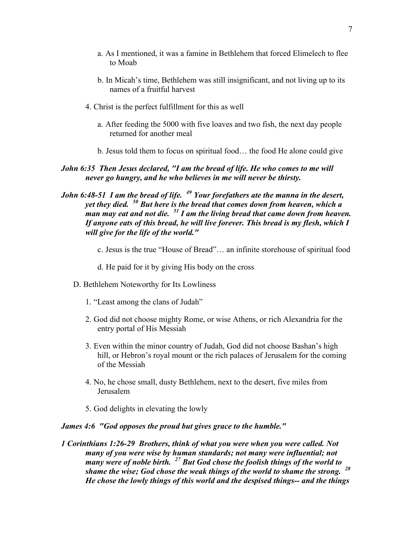- a. As I mentioned, it was a famine in Bethlehem that forced Elimelech to flee to Moab
- b. In Micah's time, Bethlehem was still insignificant, and not living up to its names of a fruitful harvest
- 4. Christ is the perfect fulfillment for this as well
	- a. After feeding the 5000 with five loaves and two fish, the next day people returned for another meal
	- b. Jesus told them to focus on spiritual food… the food He alone could give

# *John 6:35 Then Jesus declared, "I am the bread of life. He who comes to me will never go hungry, and he who believes in me will never be thirsty.*

# *John 6:48-51 I am the bread of life. <sup>49</sup> Your forefathers ate the manna in the desert, yet they died. <sup>50</sup> But here is the bread that comes down from heaven, which a man may eat and not die. <sup>51</sup> I am the living bread that came down from heaven. If anyone eats of this bread, he will live forever. This bread is my flesh, which I will give for the life of the world."*

- c. Jesus is the true "House of Bread"… an infinite storehouse of spiritual food
- d. He paid for it by giving His body on the cross
- D. Bethlehem Noteworthy for Its Lowliness
	- 1. "Least among the clans of Judah"
	- 2. God did not choose mighty Rome, or wise Athens, or rich Alexandria for the entry portal of His Messiah
	- 3. Even within the minor country of Judah, God did not choose Bashan's high hill, or Hebron's royal mount or the rich palaces of Jerusalem for the coming of the Messiah
	- 4. No, he chose small, dusty Bethlehem, next to the desert, five miles from Jerusalem
	- 5. God delights in elevating the lowly

#### *James 4:6 "God opposes the proud but gives grace to the humble."*

*1 Corinthians 1:26-29 Brothers, think of what you were when you were called. Not many of you were wise by human standards; not many were influential; not many were of noble birth. <sup>27</sup> But God chose the foolish things of the world to shame the wise; God chose the weak things of the world to shame the strong. <sup>28</sup> He chose the lowly things of this world and the despised things-- and the things*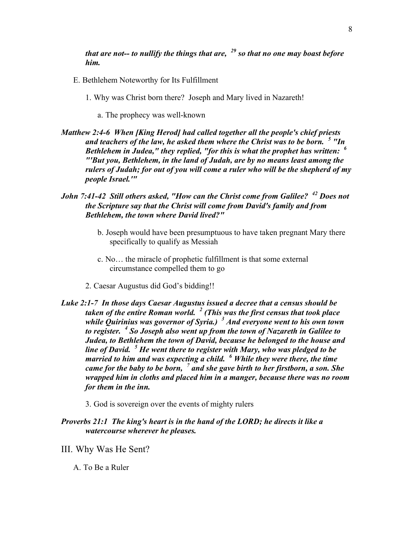*that are not-- to nullify the things that are, <sup>29</sup> so that no one may boast before him.*

- E. Bethlehem Noteworthy for Its Fulfillment
	- 1. Why was Christ born there? Joseph and Mary lived in Nazareth!
		- a. The prophecy was well-known
- *Matthew 2:4-6 When [King Herod] had called together all the people's chief priests and teachers of the law, he asked them where the Christ was to be born. <sup>5</sup> "In Bethlehem in Judea," they replied, "for this is what the prophet has written: <sup>6</sup> "'But you, Bethlehem, in the land of Judah, are by no means least among the rulers of Judah; for out of you will come a ruler who will be the shepherd of my people Israel.'"*
- *John 7:41-42 Still others asked, "How can the Christ come from Galilee? <sup>42</sup> Does not the Scripture say that the Christ will come from David's family and from Bethlehem, the town where David lived?"*
	- b. Joseph would have been presumptuous to have taken pregnant Mary there specifically to qualify as Messiah
	- c. No… the miracle of prophetic fulfillment is that some external circumstance compelled them to go
	- 2. Caesar Augustus did God's bidding!!
- *Luke 2:1-7 In those days Caesar Augustus issued a decree that a census should be taken of the entire Roman world. <sup>2</sup> (This was the first census that took place while Quirinius was governor of Syria.) <sup>3</sup> And everyone went to his own town to register. <sup>4</sup> So Joseph also went up from the town of Nazareth in Galilee to Judea, to Bethlehem the town of David, because he belonged to the house and line of David. <sup>5</sup> He went there to register with Mary, who was pledged to be married to him and was expecting a child. <sup>6</sup> While they were there, the time came for the baby to be born, <sup>7</sup> and she gave birth to her firstborn, a son. She wrapped him in cloths and placed him in a manger, because there was no room for them in the inn.*
	- 3. God is sovereign over the events of mighty rulers
- *Proverbs 21:1 The king's heart is in the hand of the LORD; he directs it like a watercourse wherever he pleases.*
- III. Why Was He Sent?
	- A. To Be a Ruler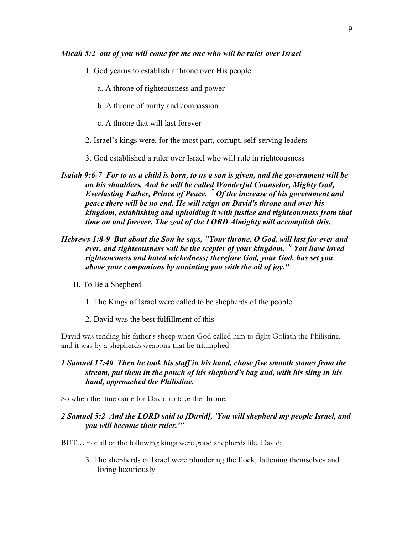#### *Micah 5:2 out of you will come for me one who will be ruler over Israel*

- 1. God yearns to establish a throne over His people
	- a. A throne of righteousness and power
	- b. A throne of purity and compassion
	- c. A throne that will last forever
- 2. Israel's kings were, for the most part, corrupt, self-serving leaders
- 3. God established a ruler over Israel who will rule in righteousness
- *Isaiah 9:6-7 For to us a child is born, to us a son is given, and the government will be on his shoulders. And he will be called Wonderful Counselor, Mighty God, Everlasting Father, Prince of Peace. <sup>7</sup> Of the increase of his government and peace there will be no end. He will reign on David's throne and over his kingdom, establishing and upholding it with justice and righteousness from that time on and forever. The zeal of the LORD Almighty will accomplish this.*
- *Hebrews 1:8-9 But about the Son he says, "Your throne, O God, will last for ever and ever, and righteousness will be the scepter of your kingdom. <sup>9</sup> You have loved righteousness and hated wickedness; therefore God, your God, has set you above your companions by anointing you with the oil of joy."*
	- B. To Be a Shepherd
		- 1. The Kings of Israel were called to be shepherds of the people
		- 2. David was the best fulfillment of this

David was tending his father's sheep when God called him to fight Goliath the Philistine, and it was by a shepherds weapons that he triumphed

# *1 Samuel 17:40 Then he took his staff in his hand, chose five smooth stones from the stream, put them in the pouch of his shepherd's bag and, with his sling in his hand, approached the Philistine.*

So when the time came for David to take the throne,

#### *2 Samuel 5:2 And the LORD said to [David], 'You will shepherd my people Israel, and you will become their ruler.'"*

BUT… not all of the following kings were good shepherds like David:

3. The shepherds of Israel were plundering the flock, fattening themselves and living luxuriously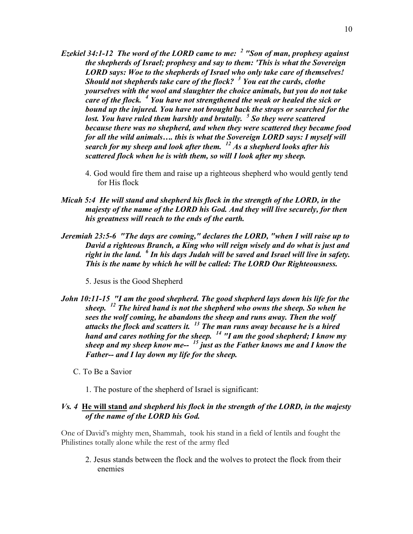- *Ezekiel 34:1-12 The word of the LORD came to me: <sup>2</sup> "Son of man, prophesy against the shepherds of Israel; prophesy and say to them: 'This is what the Sovereign LORD says: Woe to the shepherds of Israel who only take care of themselves! Should not shepherds take care of the flock? <sup>3</sup> You eat the curds, clothe yourselves with the wool and slaughter the choice animals, but you do not take care of the flock. <sup>4</sup> You have not strengthened the weak or healed the sick or bound up the injured. You have not brought back the strays or searched for the lost. You have ruled them harshly and brutally. <sup>5</sup> So they were scattered because there was no shepherd, and when they were scattered they became food for all the wild animals…. this is what the Sovereign LORD says: I myself will search for my sheep and look after them. <sup>12</sup> As a shepherd looks after his scattered flock when he is with them, so will I look after my sheep.*
	- 4. God would fire them and raise up a righteous shepherd who would gently tend for His flock
- *Micah 5:4 He will stand and shepherd his flock in the strength of the LORD, in the majesty of the name of the LORD his God. And they will live securely, for then his greatness will reach to the ends of the earth.*
- *Jeremiah 23:5-6 "The days are coming," declares the LORD, "when I will raise up to David a righteous Branch, a King who will reign wisely and do what is just and right in the land. <sup>6</sup> In his days Judah will be saved and Israel will live in safety. This is the name by which he will be called: The LORD Our Righteousness.*

5. Jesus is the Good Shepherd

- *John 10:11-15 "I am the good shepherd. The good shepherd lays down his life for the sheep. <sup>12</sup> The hired hand is not the shepherd who owns the sheep. So when he sees the wolf coming, he abandons the sheep and runs away. Then the wolf attacks the flock and scatters it. <sup>13</sup> The man runs away because he is a hired hand and cares nothing for the sheep. <sup>14</sup> "I am the good shepherd; I know my sheep and my sheep know me-- <sup>15</sup> just as the Father knows me and I know the Father-- and I lay down my life for the sheep.*
	- C. To Be a Savior
		- 1. The posture of the shepherd of Israel is significant:

## *Vs. 4* **He will stand** *and shepherd his flock in the strength of the LORD, in the majesty of the name of the LORD his God.*

One of David's mighty men, Shammah, took his stand in a field of lentils and fought the Philistines totally alone while the rest of the army fled

2. Jesus stands between the flock and the wolves to protect the flock from their enemies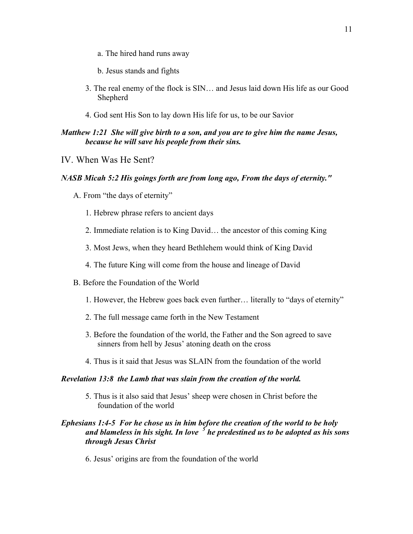- a. The hired hand runs away
- b. Jesus stands and fights
- 3. The real enemy of the flock is SIN… and Jesus laid down His life as our Good Shepherd
- 4. God sent His Son to lay down His life for us, to be our Savior

# *Matthew 1:21 She will give birth to a son, and you are to give him the name Jesus, because he will save his people from their sins.*

IV. When Was He Sent?

#### *NASB Micah 5:2 His goings forth are from long ago, From the days of eternity."*

- A. From "the days of eternity"
	- 1. Hebrew phrase refers to ancient days
	- 2. Immediate relation is to King David… the ancestor of this coming King
	- 3. Most Jews, when they heard Bethlehem would think of King David
	- 4. The future King will come from the house and lineage of David
- B. Before the Foundation of the World
	- 1. However, the Hebrew goes back even further… literally to "days of eternity"
	- 2. The full message came forth in the New Testament
	- 3. Before the foundation of the world, the Father and the Son agreed to save sinners from hell by Jesus' atoning death on the cross
	- 4. Thus is it said that Jesus was SLAIN from the foundation of the world

#### *Revelation 13:8 the Lamb that was slain from the creation of the world.*

5. Thus is it also said that Jesus' sheep were chosen in Christ before the foundation of the world

# *Ephesians 1:4-5 For he chose us in him before the creation of the world to be holy and blameless in his sight. In love <sup>5</sup> he predestined us to be adopted as his sons through Jesus Christ*

6. Jesus' origins are from the foundation of the world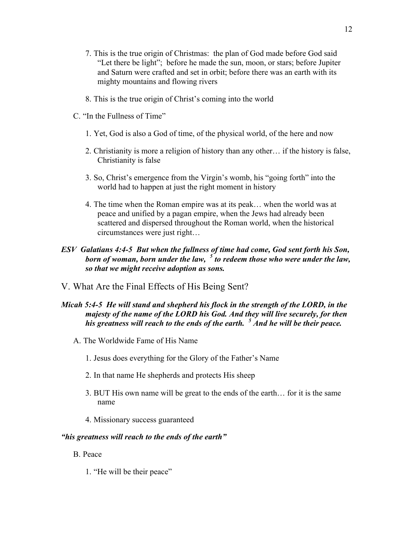- 7. This is the true origin of Christmas: the plan of God made before God said "Let there be light"; before he made the sun, moon, or stars; before Jupiter and Saturn were crafted and set in orbit; before there was an earth with its mighty mountains and flowing rivers
- 8. This is the true origin of Christ's coming into the world
- C. "In the Fullness of Time"
	- 1. Yet, God is also a God of time, of the physical world, of the here and now
	- 2. Christianity is more a religion of history than any other… if the history is false, Christianity is false
	- 3. So, Christ's emergence from the Virgin's womb, his "going forth" into the world had to happen at just the right moment in history
	- 4. The time when the Roman empire was at its peak… when the world was at peace and unified by a pagan empire, when the Jews had already been scattered and dispersed throughout the Roman world, when the historical circumstances were just right…

# *ESV Galatians 4:4-5 But when the fullness of time had come, God sent forth his Son, born of woman, born under the law, <sup>5</sup> to redeem those who were under the law, so that we might receive adoption as sons.*

V. What Are the Final Effects of His Being Sent?

# *Micah 5:4-5 He will stand and shepherd his flock in the strength of the LORD, in the majesty of the name of the LORD his God. And they will live securely, for then his greatness will reach to the ends of the earth. <sup>5</sup> And he will be their peace.*

- A. The Worldwide Fame of His Name
	- 1. Jesus does everything for the Glory of the Father's Name
	- 2. In that name He shepherds and protects His sheep
	- 3. BUT His own name will be great to the ends of the earth… for it is the same name
	- 4. Missionary success guaranteed

#### *"his greatness will reach to the ends of the earth"*

- B. Peace
	- 1. "He will be their peace"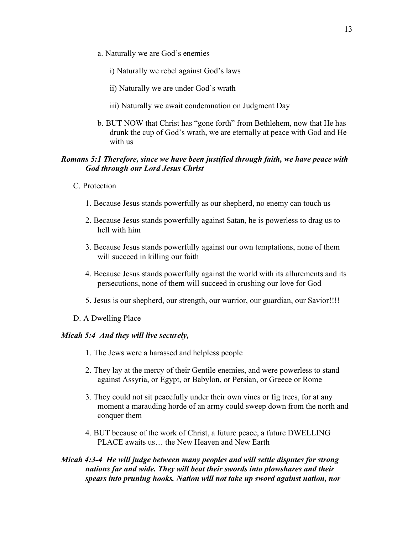a. Naturally we are God's enemies

i) Naturally we rebel against God's laws

- ii) Naturally we are under God's wrath
- iii) Naturally we await condemnation on Judgment Day
- b. BUT NOW that Christ has "gone forth" from Bethlehem, now that He has drunk the cup of God's wrath, we are eternally at peace with God and He with us

## *Romans 5:1 Therefore, since we have been justified through faith, we have peace with God through our Lord Jesus Christ*

- C. Protection
	- 1. Because Jesus stands powerfully as our shepherd, no enemy can touch us
	- 2. Because Jesus stands powerfully against Satan, he is powerless to drag us to hell with him
	- 3. Because Jesus stands powerfully against our own temptations, none of them will succeed in killing our faith
	- 4. Because Jesus stands powerfully against the world with its allurements and its persecutions, none of them will succeed in crushing our love for God
	- 5. Jesus is our shepherd, our strength, our warrior, our guardian, our Savior!!!!
- D. A Dwelling Place

#### *Micah 5:4 And they will live securely,*

- 1. The Jews were a harassed and helpless people
- 2. They lay at the mercy of their Gentile enemies, and were powerless to stand against Assyria, or Egypt, or Babylon, or Persian, or Greece or Rome
- 3. They could not sit peacefully under their own vines or fig trees, for at any moment a marauding horde of an army could sweep down from the north and conquer them
- 4. BUT because of the work of Christ, a future peace, a future DWELLING PLACE awaits us… the New Heaven and New Earth
- *Micah 4:3-4 He will judge between many peoples and will settle disputes for strong nations far and wide. They will beat their swords into plowshares and their spears into pruning hooks. Nation will not take up sword against nation, nor*